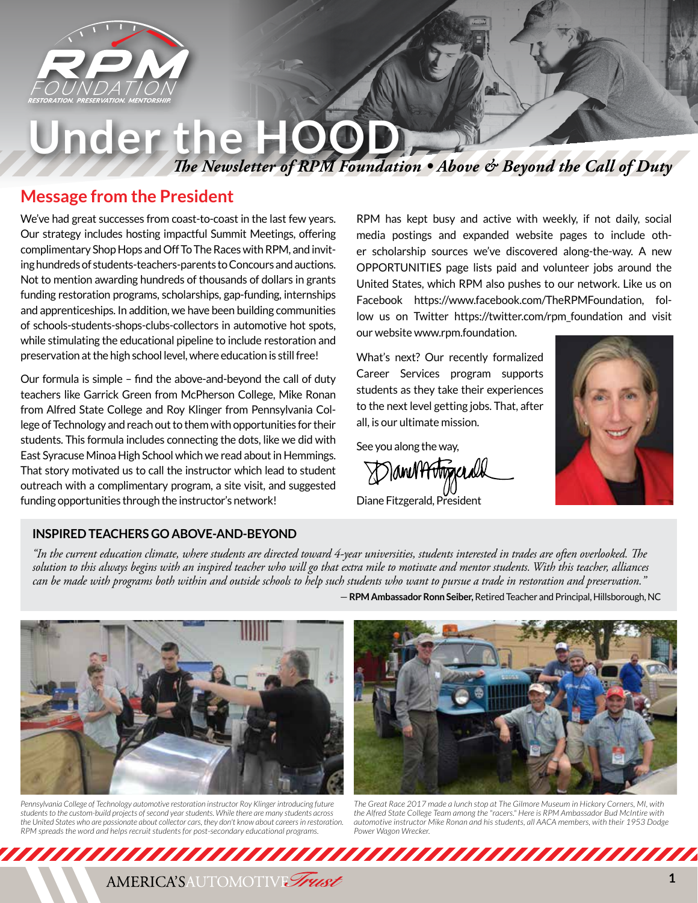

# **Under the HOOD**

*The Newsletter of RPM Foundation • Above & Beyond the Call of Duty*

### **Message from the President**

We've had great successes from coast-to-coast in the last few years. Our strategy includes hosting impactful Summit Meetings, offering complimentary Shop Hops and Off To The Races with RPM, and inviting hundreds of students-teachers-parents to Concours and auctions. Not to mention awarding hundreds of thousands of dollars in grants funding restoration programs, scholarships, gap-funding, internships and apprenticeships. In addition, we have been building communities of schools-students-shops-clubs-collectors in automotive hot spots, while stimulating the educational pipeline to include restoration and preservation at the high school level, where education is still free!

Our formula is simple – find the above-and-beyond the call of duty teachers like Garrick Green from McPherson College, Mike Ronan from Alfred State College and Roy Klinger from Pennsylvania College of Technology and reach out to them with opportunities for their students. This formula includes connecting the dots, like we did with East Syracuse Minoa High School which we read about in Hemmings. That story motivated us to call the instructor which lead to student outreach with a complimentary program, a site visit, and suggested funding opportunities through the instructor's network!

RPM has kept busy and active with weekly, if not daily, social media postings and expanded website pages to include other scholarship sources we've discovered along-the-way. A new OPPORTUNITIES page lists paid and volunteer jobs around the United States, which RPM also pushes to our network. Like us on Facebook https://www.facebook.com/TheRPMFoundation, follow us on Twitter https://twitter.com/rpm\_foundation and visit our website www.rpm.foundation.

What's next? Our recently formalized Career Services program supports students as they take their experiences to the next level getting jobs. That, after all, is our ultimate mission.

See you along the way,

DamM<del>Mmx</del>end

Diane Fitzgerald, President



### **INSPIRED TEACHERS GO ABOVE-AND-BEYOND**

*"In the current education climate, where students are directed toward 4-year universities, students interested in trades are often overlooked. The solution to this always begins with an inspired teacher who will go that extra mile to motivate and mentor students. With this teacher, alliances can be made with programs both within and outside schools to help such students who want to pursue a trade in restoration and preservation."*





*Pennsylvania College of Technology automotive restoration instructor Roy Klinger introducing future students to the custom-build projects of second year students. While there are many students across the United States who are passionate about collector cars, they don't know about careers in restoration. RPM spreads the word and helps recruit students for post-secondary educational programs.* 



*The Great Race 2017 made a lunch stop at The Gilmore Museum in Hickory Corners, MI, with the Alfred State College Team among the "racers." Here is RPM Ambassador Bud McIntire with automotive instructor Mike Ronan and his students, all AACA members, with their 1953 Dodge Power Wagon Wrecker.*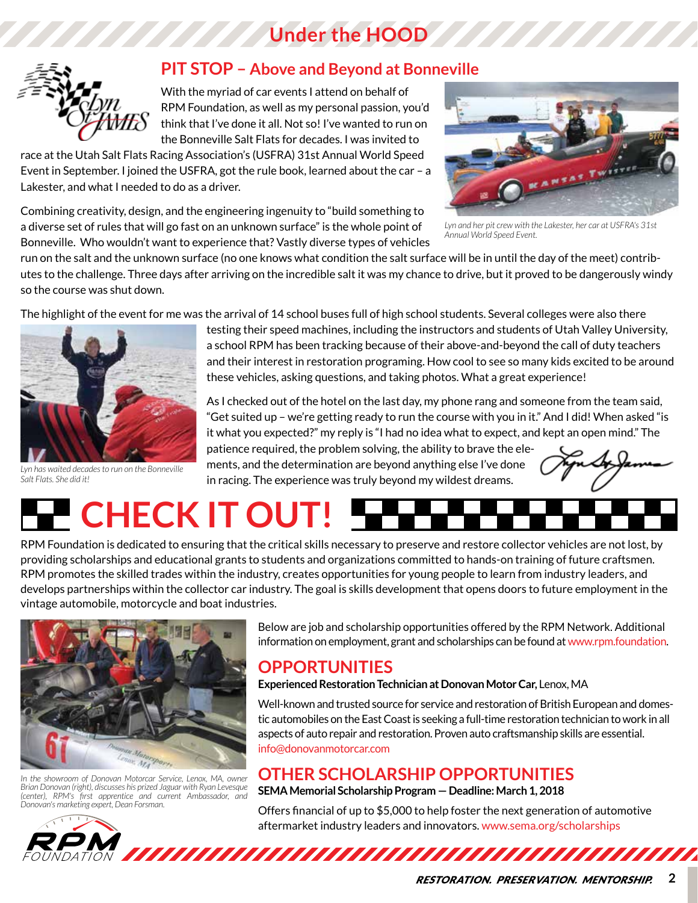# **Under the HOOD**



### **PIT STOP – Above and Beyond at Bonneville**

With the myriad of car events I attend on behalf of RPM Foundation, as well as my personal passion, you'd think that I've done it all. Not so! I've wanted to run on the Bonneville Salt Flats for decades. I was invited to

race at the Utah Salt Flats Racing Association's (USFRA) 31st Annual World Speed Event in September. I joined the USFRA, got the rule book, learned about the car – a Lakester, and what I needed to do as a driver.

Combining creativity, design, and the engineering ingenuity to "build something to a diverse set of rules that will go fast on an unknown surface" is the whole point of Bonneville. Who wouldn't want to experience that? Vastly diverse types of vehicles



*Lyn and her pit crew with the Lakester, her car at USFRA's 31st Annual World Speed Event.*

run on the salt and the unknown surface (no one knows what condition the salt surface will be in until the day of the meet) contributes to the challenge. Three days after arriving on the incredible salt it was my chance to drive, but it proved to be dangerously windy so the course was shut down.

The highlight of the event for me was the arrival of 14 school buses full of high school students. Several colleges were also there



*Lyn has waited decades to run on the Bonneville Salt Flats. She did it!*

testing their speed machines, including the instructors and students of Utah Valley University, a school RPM has been tracking because of their above-and-beyond the call of duty teachers and their interest in restoration programing. How cool to see so many kids excited to be around these vehicles, asking questions, and taking photos. What a great experience!

As I checked out of the hotel on the last day, my phone rang and someone from the team said, "Get suited up – we're getting ready to run the course with you in it." And I did! When asked "is it what you expected?" my reply is "I had no idea what to expect, and kept an open mind." The

patience required, the problem solving, the ability to brave the elements, and the determination are beyond anything else I've done in racing. The experience was truly beyond my wildest dreams.



# **CHECK IT OUT!**

RPM Foundation is dedicated to ensuring that the critical skills necessary to preserve and restore collector vehicles are not lost, by providing scholarships and educational grants to students and organizations committed to hands-on training of future craftsmen. RPM promotes the skilled trades within the industry, creates opportunities for young people to learn from industry leaders, and develops partnerships within the collector car industry. The goal is skills development that opens doors to future employment in the vintage automobile, motorcycle and boat industries.



*In the showroom of Donovan Motorcar Service, Lenox, MA, owner Brian Donovan (right), discusses his prized Jaguar with Ryan Levesque (center), RPM's first apprentice and current Ambassador, and Donovan's marketing expert, Dean Forsman.*

Below are job and scholarship opportunities offered by the RPM Network. Additional information on employment, grant and scholarships can be found at www.rpm.foundation.

## **OPPORTUNITIES**

### **Experienced Restoration Technician at Donovan Motor Car,** Lenox, MA

Well-known and trusted source for service and restoration of British European and domestic automobiles on the East Coast is seeking a full-time restoration technician to work in all aspects of auto repair and restoration. Proven auto craftsmanship skills are essential. info@donovanmotorcar.com

## **OTHER SCHOLARSHIP OPPORTUNITIES**

**SEMA Memorial Scholarship Program — Deadline: March 1, 2018**

Offers financial of up to \$5,000 to help foster the next generation of automotive aftermarket industry leaders and innovators. www.sema.org/scholarships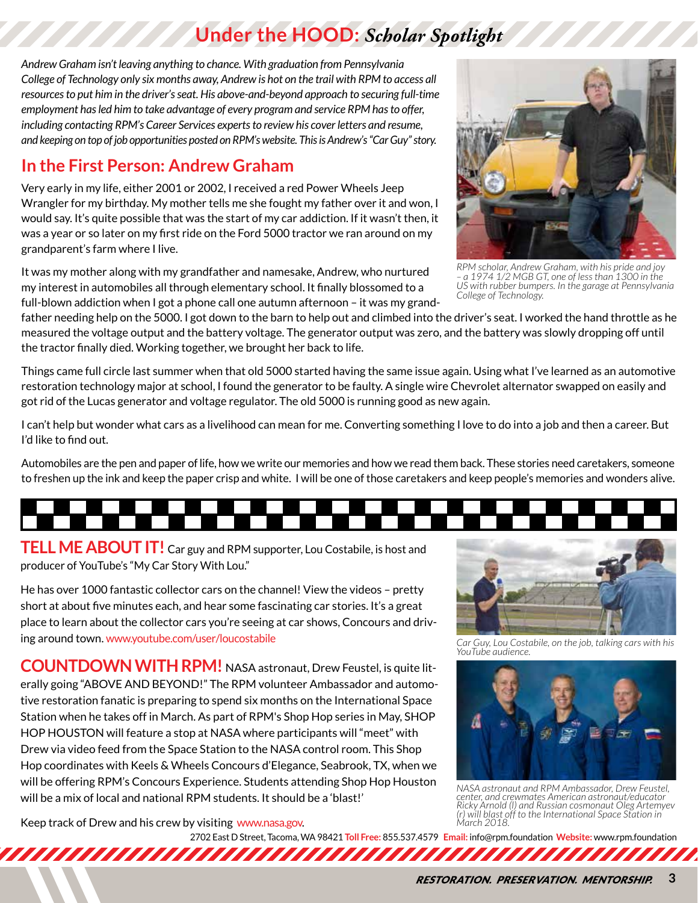# **Under the HOOD:** *Scholar Spotlight*

*Andrew Graham isn't leaving anything to chance. With graduation from Pennsylvania College of Technology only six months away, Andrew is hot on the trail with RPM to access all resources to put him in the driver's seat. His above-and-beyond approach to securing full-time employment has led him to take advantage of every program and service RPM has to offer, including contacting RPM's Career Services experts to review his cover letters and resume, and keeping on top of job opportunities posted on RPM's website. This is Andrew's "Car Guy" story.*

# **In the First Person: Andrew Graham**

Very early in my life, either 2001 or 2002, I received a red Power Wheels Jeep Wrangler for my birthday. My mother tells me she fought my father over it and won, I would say. It's quite possible that was the start of my car addiction. If it wasn't then, it was a year or so later on my first ride on the Ford 5000 tractor we ran around on my grandparent's farm where I live.

It was my mother along with my grandfather and namesake, Andrew, who nurtured my interest in automobiles all through elementary school. It finally blossomed to a full-blown addiction when I got a phone call one autumn afternoon – it was my grand-



Things came full circle last summer when that old 5000 started having the same issue again. Using what I've learned as an automotive restoration technology major at school, I found the generator to be faulty. A single wire Chevrolet alternator swapped on easily and got rid of the Lucas generator and voltage regulator. The old 5000 is running good as new again.

I can't help but wonder what cars as a livelihood can mean for me. Converting something I love to do into a job and then a career. But I'd like to find out.

Automobiles are the pen and paper of life, how we write our memories and how we read them back. These stories need caretakers, someone to freshen up the ink and keep the paper crisp and white. I will be one of those caretakers and keep people's memories and wonders alive.

**TELL ME ABOUT IT!** Car guy and RPM supporter, Lou Costabile, is host and producer of YouTube's "My Car Story With Lou."

He has over 1000 fantastic collector cars on the channel! View the videos – pretty short at about five minutes each, and hear some fascinating car stories. It's a great place to learn about the collector cars you're seeing at car shows, Concours and driving around town. www.youtube.com/user/loucostabile

**COUNTDOWN WITH RPM!** NASA astronaut, Drew Feustel, is quite literally going "ABOVE AND BEYOND!" The RPM volunteer Ambassador and automotive restoration fanatic is preparing to spend six months on the International Space Station when he takes off in March. As part of RPM's Shop Hop series in May, SHOP HOP HOUSTON will feature a stop at NASA where participants will "meet" with Drew via video feed from the Space Station to the NASA control room. This Shop Hop coordinates with Keels & Wheels Concours d'Elegance, Seabrook, TX, when we will be offering RPM's Concours Experience. Students attending Shop Hop Houston will be a mix of local and national RPM students. It should be a 'blast!'

Keep track of Drew and his crew by visiting www.nasa.gov.

2702 East D Street, Tacoma, WA 98421 **Toll Free:** 855.537.4579 **Email:** info@rpm.foundation **Website:** www.rpm.foundation

*Car Guy, Lou Costabile, on the job, talking cars with his YouTube audience.*



*NASA astronaut and RPM Ambassador, Drew Feustel, center, and crewmates American astronaut/educator Ricky Arnold (l) and Russian cosmonaut Oleg Artemyev (r) will blast off to the International Space Station in March 2018.*



*– a 1974 1/2 MGB GT, one of less than 1300 in the US with rubber bumpers. In the garage at Pennsylvania* 

*College of Technology.*